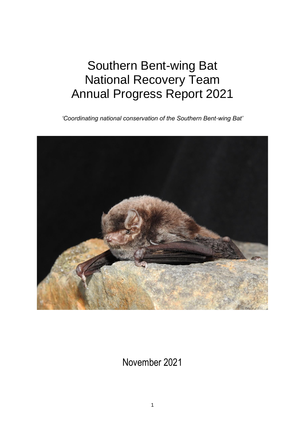# Southern Bent-wing Bat National Recovery Team Annual Progress Report 2021

*'Coordinating national conservation of the Southern Bent-wing Bat'*



November 2021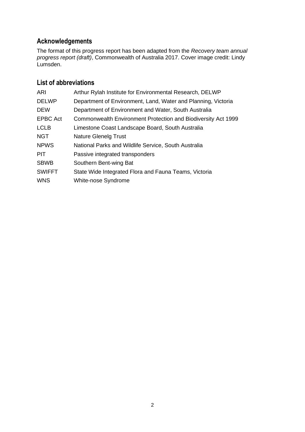# **Acknowledgements**

The format of this progress report has been adapted from the *Recovery team annual progress report (draft)*, Commonwealth of Australia 2017. Cover image credit: Lindy Lumsden.

# **List of abbreviations**

| <b>ARI</b>      | Arthur Rylah Institute for Environmental Research, DELWP      |
|-----------------|---------------------------------------------------------------|
| <b>DELWP</b>    | Department of Environment, Land, Water and Planning, Victoria |
| <b>DEW</b>      | Department of Environment and Water, South Australia          |
| <b>EPBC Act</b> | Commonwealth Environment Protection and Biodiversity Act 1999 |
| <b>LCLB</b>     | Limestone Coast Landscape Board, South Australia              |
| <b>NGT</b>      | <b>Nature Glenelg Trust</b>                                   |
| <b>NPWS</b>     | National Parks and Wildlife Service, South Australia          |
| <b>PIT</b>      | Passive integrated transponders                               |
| <b>SBWB</b>     | Southern Bent-wing Bat                                        |
| <b>SWIFFT</b>   | State Wide Integrated Flora and Fauna Teams, Victoria         |
| <b>WNS</b>      | White-nose Syndrome                                           |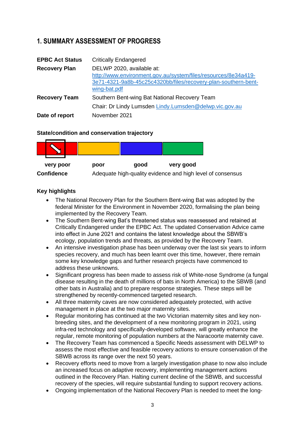# **1. SUMMARY ASSESSMENT OF PROGRESS**

| <b>EPBC Act Status</b> | <b>Critically Endangered</b>                                                                                                                                                  |
|------------------------|-------------------------------------------------------------------------------------------------------------------------------------------------------------------------------|
| <b>Recovery Plan</b>   | DELWP 2020, available at:<br>http://www.environment.gov.au/system/files/resources/8e34a419-<br>3e71-4321-9a8b-45c25c4320bb/files/recovery-plan-southern-bent-<br>wing-bat.pdf |
| <b>Recovery Team</b>   | Southern Bent-wing Bat National Recovery Team<br>Chair: Dr Lindy Lumsden Lindy.Lumsden@delwp.vic.gov.au                                                                       |
| Date of report         | November 2021                                                                                                                                                                 |

# **State/condition and conservation trajectory**



# **Key highlights**

- The National Recovery Plan for the Southern Bent-wing Bat was adopted by the federal Minister for the Environment in November 2020, formalising the plan being implemented by the Recovery Team.
- The Southern Bent-wing Bat's threatened status was reassessed and retained at Critically Endangered under the EPBC Act. The updated Conservation Advice came into effect in June 2021 and contains the latest knowledge about the SBWB's ecology, population trends and threats, as provided by the Recovery Team.
- An intensive investigation phase has been underway over the last six years to inform species recovery, and much has been learnt over this time, however, there remain some key knowledge gaps and further research projects have commenced to address these unknowns.
- Significant progress has been made to assess risk of White-nose Syndrome (a fungal disease resulting in the death of millions of bats in North America) to the SBWB (and other bats in Australia) and to prepare response strategies. These steps will be strengthened by recently-commenced targeted research.
- All three maternity caves are now considered adequately protected, with active management in place at the two major maternity sites.
- Regular monitoring has continued at the two Victorian maternity sites and key nonbreeding sites, and the development of a new monitoring program in 2021, using infra-red technology and specifically-developed software, will greatly enhance the regular, remote monitoring of population numbers at the Naracoorte maternity cave.
- The Recovery Team has commenced a Specific Needs assessment with DELWP to assess the most effective and feasible recovery actions to ensure conservation of the SBWB across its range over the next 50 years.
- Recovery efforts need to move from a largely investigation phase to now also include an increased focus on adaptive recovery, implementing management actions outlined in the Recovery Plan. Halting current decline of the SBWB, and successful recovery of the species, will require substantial funding to support recovery actions.
- Ongoing implementation of the National Recovery Plan is needed to meet the long-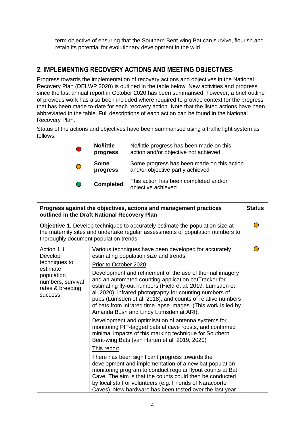term objective of ensuring that the Southern Bent-wing Bat can survive, flourish and retain its potential for evolutionary development in the wild.

# **2. IMPLEMENTING RECOVERY ACTIONS AND MEETING OBJECTIVES**

Progress towards the implementation of recovery actions and objectives in the National Recovery Plan (DELWP 2020) is outlined in the table below. New activities and progress since the last annual report in October 2020 has been summarised, however, a brief outline of previous work has also been included where required to provide context for the progress that has been made to-date for each recovery action. Note that the listed actions have been abbreviated in the table. Full descriptions of each action can be found in the National Recovery Plan.

Status of the actions and objectives have been summarised using a traffic light system as follows:

|           | No/little<br>progress   | No/little progress has been made on this<br>action and/or objective not achieved |
|-----------|-------------------------|----------------------------------------------------------------------------------|
| $\bigcap$ | <b>Some</b><br>progress | Some progress has been made on this action<br>and/or objective partly achieved   |
|           | <b>Completed</b>        | This action has been completed and/or<br>objective achieved                      |

|                                                                                                                                                                                                                  | Progress against the objectives, actions and management practices<br>outlined in the Draft National Recovery Plan                                                                                                                                                                                                                                                                                                                                                                                                                                                                                                                                                                                                                                                                                                                                                                                       | <b>Status</b> |
|------------------------------------------------------------------------------------------------------------------------------------------------------------------------------------------------------------------|---------------------------------------------------------------------------------------------------------------------------------------------------------------------------------------------------------------------------------------------------------------------------------------------------------------------------------------------------------------------------------------------------------------------------------------------------------------------------------------------------------------------------------------------------------------------------------------------------------------------------------------------------------------------------------------------------------------------------------------------------------------------------------------------------------------------------------------------------------------------------------------------------------|---------------|
| <b>Objective 1.</b> Develop techniques to accurately estimate the population size at<br>the maternity sites and undertake regular assessments of population numbers to<br>thoroughly document population trends. |                                                                                                                                                                                                                                                                                                                                                                                                                                                                                                                                                                                                                                                                                                                                                                                                                                                                                                         |               |
| Action 1.1<br>Develop<br>techniques to<br>estimate<br>population<br>numbers, survival<br>rates & breeding<br>success                                                                                             | Various techniques have been developed for accurately<br>estimating population size and trends.<br>Prior to October 2020<br>Development and refinement of the use of thermal imagery<br>and an automated counting application batTracker for<br>estimating fly-out numbers (Hield et al. 2019, Lumsden et<br>al. 2020), infrared photography for counting numbers of<br>pups (Lumsden et al. 2018), and counts of relative numbers<br>of bats from infrared time lapse images. (This work is led by<br>Amanda Bush and Lindy Lumsden at ARI).<br>Development and optimisation of antenna systems for<br>monitoring PIT-tagged bats at cave roosts, and confirmed<br>minimal impacts of this marking technique for Southern<br>Bent-wing Bats (van Harten et al. 2019, 2020)<br>This report<br>There has been significant progress towards the<br>development and implementation of a new bat population |               |
|                                                                                                                                                                                                                  | monitoring program to conduct regular flyout counts at Bat<br>Cave. The aim is that the counts could then be conducted<br>by local staff or volunteers (e.g. Friends of Naracoorte<br>Caves). New hardware has been tested over the last year.                                                                                                                                                                                                                                                                                                                                                                                                                                                                                                                                                                                                                                                          |               |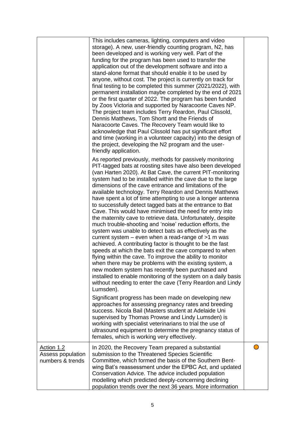|                                                            | This includes cameras, lighting, computers and video<br>storage). A new, user-friendly counting program, N2, has<br>been developed and is working very well. Part of the<br>funding for the program has been used to transfer the<br>application out of the development software and into a<br>stand-alone format that should enable it to be used by<br>anyone, without cost. The project is currently on track for<br>final testing to be completed this summer (2021/2022), with<br>permanent installation maybe completed by the end of 2021<br>or the first quarter of 2022. The program has been funded<br>by Zoos Victoria and supported by Naracoorte Caves NP.<br>The project team includes Terry Reardon, Paul Clissold,<br>Dennis Matthews, Tom Shortt and the Friends of<br>Naracoorte Caves. The Recovery Team would like to<br>acknowledge that Paul Clissold has put significant effort<br>and time (working in a volunteer capacity) into the design of<br>the project, developing the N2 program and the user-<br>friendly application.                                                                                                                                                                                                       |  |
|------------------------------------------------------------|----------------------------------------------------------------------------------------------------------------------------------------------------------------------------------------------------------------------------------------------------------------------------------------------------------------------------------------------------------------------------------------------------------------------------------------------------------------------------------------------------------------------------------------------------------------------------------------------------------------------------------------------------------------------------------------------------------------------------------------------------------------------------------------------------------------------------------------------------------------------------------------------------------------------------------------------------------------------------------------------------------------------------------------------------------------------------------------------------------------------------------------------------------------------------------------------------------------------------------------------------------------|--|
|                                                            | As reported previously, methods for passively monitoring<br>PIT-tagged bats at roosting sites have also been developed<br>(van Harten 2020). At Bat Cave, the current PIT-monitoring<br>system had to be installed within the cave due to the large<br>dimensions of the cave entrance and limitations of the<br>available technology. Terry Reardon and Dennis Matthews<br>have spent a lot of time attempting to use a longer antenna<br>to successfully detect tagged bats at the entrance to Bat<br>Cave. This would have minimised the need for entry into<br>the maternity cave to retrieve data. Unfortunately, despite<br>much trouble-shooting and 'noise' reduction efforts, the<br>system was unable to detect bats as effectively as the<br>current system $-$ even when a read-range of $>1$ m was<br>achieved. A contributing factor is thought to be the fast<br>speeds at which the bats exit the cave compared to when<br>flying within the cave. To improve the ability to monitor<br>when there may be problems with the existing system, a<br>new modem system has recently been purchased and<br>installed to enable monitoring of the system on a daily basis<br>without needing to enter the cave (Terry Reardon and Lindy<br>Lumsden). |  |
|                                                            | Significant progress has been made on developing new<br>approaches for assessing pregnancy rates and breeding<br>success. Nicola Bail (Masters student at Adelaide Uni<br>supervised by Thomas Prowse and Lindy Lumsden) is<br>working with specialist veterinarians to trial the use of<br>ultrasound equipment to determine the pregnancy status of<br>females, which is working very effectively.                                                                                                                                                                                                                                                                                                                                                                                                                                                                                                                                                                                                                                                                                                                                                                                                                                                           |  |
| <b>Action 1.2</b><br>Assess population<br>numbers & trends | In 2020, the Recovery Team prepared a substantial<br>submission to the Threatened Species Scientific<br>Committee, which formed the basis of the Southern Bent-<br>wing Bat's reassessment under the EPBC Act, and updated<br>Conservation Advice. The advice included population<br>modelling which predicted deeply-concerning declining<br>population trends over the next 36 years. More information                                                                                                                                                                                                                                                                                                                                                                                                                                                                                                                                                                                                                                                                                                                                                                                                                                                       |  |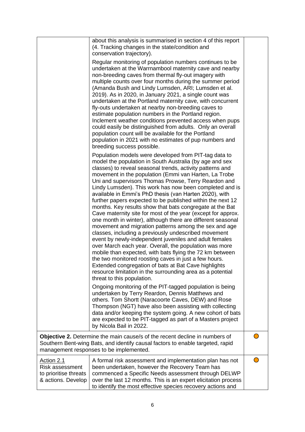|                                                                                                                                                                                                          | about this analysis is summarised in section 4 of this report<br>(4. Tracking changes in the state/condition and<br>conservation trajectory).<br>Regular monitoring of population numbers continues to be<br>undertaken at the Warrnambool maternity cave and nearby<br>non-breeding caves from thermal fly-out imagery with<br>multiple counts over four months during the summer period<br>(Amanda Bush and Lindy Lumsden, ARI; Lumsden et al.<br>2019). As in 2020, in January 2021, a single count was<br>undertaken at the Portland maternity cave, with concurrent<br>fly-outs undertaken at nearby non-breeding caves to<br>estimate population numbers in the Portland region.<br>Inclement weather conditions prevented access when pups<br>could easily be distinguished from adults. Only an overall<br>population count will be available for the Portland<br>population in 2021 with no estimates of pup numbers and<br>breeding success possible.<br>Population models were developed from PIT-tag data to<br>model the population in South Australia (by age and sex<br>classes) to reveal seasonal trends, activity patterns and<br>movement in the population (Emmi van Harten, La Trobe<br>Uni and supervisors Thomas Prowse, Terry Reardon and<br>Lindy Lumsden). This work has now been completed and is<br>available in Emmi's PhD thesis (van Harten 2020), with<br>further papers expected to be published within the next 12<br>months. Key results show that bats congregate at the Bat<br>Cave maternity site for most of the year (except for approx.<br>one month in winter), although there are different seasonal<br>movement and migration patterns among the sex and age<br>classes, including a previously undescribed movement<br>event by newly-independent juveniles and adult females<br>over March each year. Overall, the population was more<br>mobile than expected, with bats flying the 72 km between<br>the two monitored roosting caves in just a few hours.<br>Extended congregation of bats at Bat Cave highlights<br>resource limitation in the surrounding area as a potential |  |
|----------------------------------------------------------------------------------------------------------------------------------------------------------------------------------------------------------|---------------------------------------------------------------------------------------------------------------------------------------------------------------------------------------------------------------------------------------------------------------------------------------------------------------------------------------------------------------------------------------------------------------------------------------------------------------------------------------------------------------------------------------------------------------------------------------------------------------------------------------------------------------------------------------------------------------------------------------------------------------------------------------------------------------------------------------------------------------------------------------------------------------------------------------------------------------------------------------------------------------------------------------------------------------------------------------------------------------------------------------------------------------------------------------------------------------------------------------------------------------------------------------------------------------------------------------------------------------------------------------------------------------------------------------------------------------------------------------------------------------------------------------------------------------------------------------------------------------------------------------------------------------------------------------------------------------------------------------------------------------------------------------------------------------------------------------------------------------------------------------------------------------------------------------------------------------------------------------------------------------------------------------------------------------------------------------------------------------------------------|--|
|                                                                                                                                                                                                          | threat to this population.                                                                                                                                                                                                                                                                                                                                                                                                                                                                                                                                                                                                                                                                                                                                                                                                                                                                                                                                                                                                                                                                                                                                                                                                                                                                                                                                                                                                                                                                                                                                                                                                                                                                                                                                                                                                                                                                                                                                                                                                                                                                                                      |  |
|                                                                                                                                                                                                          | Ongoing monitoring of the PIT-tagged population is being<br>undertaken by Terry Reardon, Dennis Matthews and<br>others. Tom Shortt (Naracoorte Caves, DEW) and Rose<br>Thompson (NGT) have also been assisting with collecting<br>data and/or keeping the system going. A new cohort of bats<br>are expected to be PIT-tagged as part of a Masters project<br>by Nicola Bail in 2022.                                                                                                                                                                                                                                                                                                                                                                                                                                                                                                                                                                                                                                                                                                                                                                                                                                                                                                                                                                                                                                                                                                                                                                                                                                                                                                                                                                                                                                                                                                                                                                                                                                                                                                                                           |  |
| Objective 2. Determine the main cause/s of the recent decline in numbers of<br>Southern Bent-wing Bats, and identify causal factors to enable targeted, rapid<br>management responses to be implemented. |                                                                                                                                                                                                                                                                                                                                                                                                                                                                                                                                                                                                                                                                                                                                                                                                                                                                                                                                                                                                                                                                                                                                                                                                                                                                                                                                                                                                                                                                                                                                                                                                                                                                                                                                                                                                                                                                                                                                                                                                                                                                                                                                 |  |
| <u>Action 2.1</u><br>Risk assessment<br>to prioritise threats<br>& actions. Develop                                                                                                                      | A formal risk assessment and implementation plan has not<br>been undertaken, however the Recovery Team has<br>commenced a Specific Needs assessment through DELWP<br>over the last 12 months. This is an expert elicitation process<br>to identify the most effective species recovery actions and                                                                                                                                                                                                                                                                                                                                                                                                                                                                                                                                                                                                                                                                                                                                                                                                                                                                                                                                                                                                                                                                                                                                                                                                                                                                                                                                                                                                                                                                                                                                                                                                                                                                                                                                                                                                                              |  |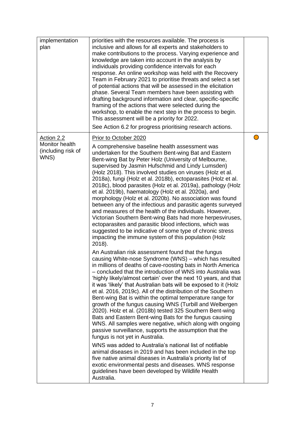| implementation<br>plan                                     | priorities with the resources available. The process is<br>inclusive and allows for all experts and stakeholders to<br>make contributions to the process. Varying experience and<br>knowledge are taken into account in the analysis by<br>individuals providing confidence intervals for each<br>response. An online workshop was held with the Recovery<br>Team in February 2021 to prioritise threats and select a set<br>of potential actions that will be assessed in the elicitation<br>phase. Several Team members have been assisting with<br>drafting background information and clear, specific-specific<br>framing of the actions that were selected during the<br>workshop, to enable the next step in the process to begin.<br>This assessment will be a priority for 2022.<br>See Action 6.2 for progress prioritising research actions.                                                                                                                                                                                                                                                                                                                                                                                                                                                                                                                                                                                                                                                                                                                                                                                                                                                                                                                                                                                                                                                                                                                                                                                                                                                                             |  |
|------------------------------------------------------------|------------------------------------------------------------------------------------------------------------------------------------------------------------------------------------------------------------------------------------------------------------------------------------------------------------------------------------------------------------------------------------------------------------------------------------------------------------------------------------------------------------------------------------------------------------------------------------------------------------------------------------------------------------------------------------------------------------------------------------------------------------------------------------------------------------------------------------------------------------------------------------------------------------------------------------------------------------------------------------------------------------------------------------------------------------------------------------------------------------------------------------------------------------------------------------------------------------------------------------------------------------------------------------------------------------------------------------------------------------------------------------------------------------------------------------------------------------------------------------------------------------------------------------------------------------------------------------------------------------------------------------------------------------------------------------------------------------------------------------------------------------------------------------------------------------------------------------------------------------------------------------------------------------------------------------------------------------------------------------------------------------------------------------------------------------------------------------------------------------------------------------|--|
| Action 2.2<br>Monitor health<br>(including risk of<br>WNS) | Prior to October 2020<br>A comprehensive baseline health assessment was<br>undertaken for the Southern Bent-wing Bat and Eastern<br>Bent-wing Bat by Peter Holz (University of Melbourne,<br>supervised by Jasmin Hufschmid and Lindy Lumsden)<br>(Holz 2018). This involved studies on viruses (Holz et al.<br>2018a), fungi (Holz et al. 2018b), ectoparasites (Holz et al.<br>2018c), blood parasites (Holz et al. 2019a), pathology (Holz<br>et al. 2019b), haematology (Holz et al. 2020a), and<br>morphology (Holz et al. 2020b). No association was found<br>between any of the infectious and parasitic agents surveyed<br>and measures of the health of the individuals. However,<br>Victorian Southern Bent-wing Bats had more herpesviruses,<br>ectoparasites and parasitic blood infections, which was<br>suggested to be indicative of some type of chronic stress<br>impacting the immune system of this population (Holz<br>2018).<br>An Australian risk assessment found that the fungus<br>causing White-nose Syndrome (WNS) - which has resulted<br>in millions of deaths of cave-roosting bats in North America<br>- concluded that the introduction of WNS into Australia was<br>'highly likely/almost certain' over the next 10 years, and that<br>it was 'likely' that Australian bats will be exposed to it (Holz<br>et al. 2016, 2019c). All of the distribution of the Southern<br>Bent-wing Bat is within the optimal temperature range for<br>growth of the fungus causing WNS (Turbill and Welbergen<br>2020). Holz et al. (2018b) tested 325 Southern Bent-wing<br>Bats and Eastern Bent-wing Bats for the fungus causing<br>WNS. All samples were negative, which along with ongoing<br>passive surveillance, supports the assumption that the<br>fungus is not yet in Australia.<br>WNS was added to Australia's national list of notifiable<br>animal diseases in 2019 and has been included in the top<br>five native animal diseases in Australia's priority list of<br>exotic environmental pests and diseases. WNS response<br>guidelines have been developed by Wildlife Health<br>Australia. |  |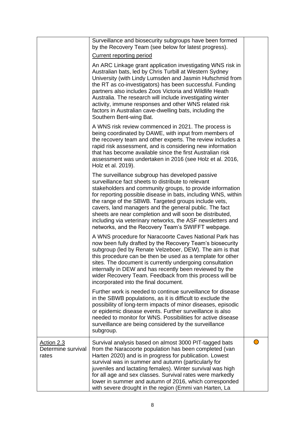|                                           | Surveillance and biosecurity subgroups have been formed<br>by the Recovery Team (see below for latest progress).                                                                                                                                                                                                                                                                                                                                                                                                                     |  |
|-------------------------------------------|--------------------------------------------------------------------------------------------------------------------------------------------------------------------------------------------------------------------------------------------------------------------------------------------------------------------------------------------------------------------------------------------------------------------------------------------------------------------------------------------------------------------------------------|--|
|                                           | <b>Current reporting period</b>                                                                                                                                                                                                                                                                                                                                                                                                                                                                                                      |  |
|                                           | An ARC Linkage grant application investigating WNS risk in<br>Australian bats, led by Chris Turbill at Western Sydney<br>University (with Lindy Lumsden and Jasmin Hufschmid from<br>the RT as co-investigators) has been successful. Funding<br>partners also includes Zoos Victoria and Wildlife Heath<br>Australia. The research will include investigating winter<br>activity, immune responses and other WNS related risk<br>factors in Australian cave-dwelling bats, including the<br>Southern Bent-wing Bat.                 |  |
|                                           | A WNS risk review commenced in 2021. The process is<br>being coordinated by DAWE, with input from members of<br>the recovery team and other experts. The review includes a<br>rapid risk assessment, and is considering new information<br>that has become available since the first Australian risk<br>assessment was undertaken in 2016 (see Holz et al. 2016,<br>Holz et al. 2019).                                                                                                                                               |  |
|                                           | The surveillance subgroup has developed passive<br>surveillance fact sheets to distribute to relevant<br>stakeholders and community groups, to provide information<br>for reporting possible disease in bats, including WNS, within<br>the range of the SBWB. Targeted groups include vets,<br>cavers, land managers and the general public. The fact<br>sheets are near completion and will soon be distributed,<br>including via veterinary networks, the ASF newsletters and<br>networks, and the Recovery Team's SWIFFT webpage. |  |
|                                           | A WNS procedure for Naracoorte Caves National Park has<br>now been fully drafted by the Recovery Team's biosecurity<br>subgroup (led by Renate Velzeboer, DEW). The aim is that<br>this procedure can be then be used as a template for other<br>sites. The document is currently undergoing consultation<br>internally in DEW and has recently been reviewed by the<br>wider Recovery Team. Feedback from this process will be<br>incorporated into the final document.                                                             |  |
|                                           | Further work is needed to continue surveillance for disease<br>in the SBWB populations, as it is difficult to exclude the<br>possibility of long-term impacts of minor diseases, episodic<br>or epidemic disease events. Further surveillance is also<br>needed to monitor for WNS. Possibilities for active disease<br>surveillance are being considered by the surveillance<br>subgroup.                                                                                                                                           |  |
| Action 2.3<br>Determine survival<br>rates | Survival analysis based on almost 3000 PIT-tagged bats<br>from the Naracoorte population has been completed (van<br>Harten 2020) and is in progress for publication. Lowest<br>survival was in summer and autumn (particularly for<br>juveniles and lactating females). Winter survival was high<br>for all age and sex classes. Survival rates were markedly<br>lower in summer and autumn of 2016, which corresponded<br>with severe drought in the region (Emmi van Harten, La                                                    |  |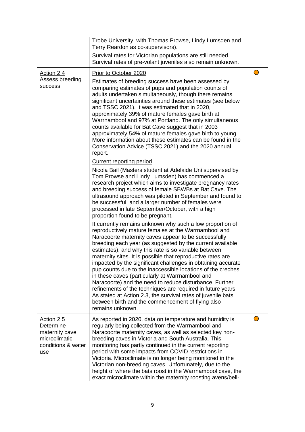|                                                                                         | Trobe University, with Thomas Prowse, Lindy Lumsden and<br>Terry Reardon as co-supervisors).<br>Survival rates for Victorian populations are still needed.<br>Survival rates of pre-volant juveniles also remain unknown.                                                                                                                                                                                                                                                                                                                                                                                                                                                                                                                                                                                          |  |
|-----------------------------------------------------------------------------------------|--------------------------------------------------------------------------------------------------------------------------------------------------------------------------------------------------------------------------------------------------------------------------------------------------------------------------------------------------------------------------------------------------------------------------------------------------------------------------------------------------------------------------------------------------------------------------------------------------------------------------------------------------------------------------------------------------------------------------------------------------------------------------------------------------------------------|--|
| Action 2.4<br>Assess breeding<br><b>SUCCESS</b>                                         | Prior to October 2020<br>Estimates of breeding success have been assessed by<br>comparing estimates of pups and population counts of<br>adults undertaken simultaneously, though there remains<br>significant uncertainties around these estimates (see below<br>and TSSC 2021). It was estimated that in 2020,<br>approximately 39% of mature females gave birth at<br>Warrnambool and 97% at Portland. The only simultaneous<br>counts available for Bat Cave suggest that in 2003<br>approximately 54% of mature females gave birth to young.<br>More information about these estimates can be found in the<br>Conservation Advice (TSSC 2021) and the 2020 annual<br>report.                                                                                                                                   |  |
|                                                                                         | <b>Current reporting period</b><br>Nicola Bail (Masters student at Adelaide Uni supervised by<br>Tom Prowse and Lindy Lumsden) has commenced a<br>research project which aims to investigate pregnancy rates<br>and breeding success of female SBWBs at Bat Cave. The<br>ultrasound approach was piloted in September and found to<br>be successful, and a larger number of females were<br>processed in late September/October, with a high<br>proportion found to be pregnant.                                                                                                                                                                                                                                                                                                                                   |  |
|                                                                                         | It currently remains unknown why such a low proportion of<br>reproductively mature females at the Warrnambool and<br>Naracoorte maternity caves appear to be successfully<br>breeding each year (as suggested by the current available<br>estimates), and why this rate is so variable between<br>maternity sites. It is possible that reproductive rates are<br>impacted by the significant challenges in obtaining accurate<br>pup counts due to the inaccessible locations of the creches<br>in these caves (particularly at Warrnambool and<br>Naracoorte) and the need to reduce disturbance. Further<br>refinements of the techniques are required in future years.<br>As stated at Action 2.3, the survival rates of juvenile bats<br>between birth and the commencement of flying also<br>remains unknown. |  |
| Action 2.5<br>Determine<br>maternity cave<br>microclimatic<br>conditions & water<br>use | As reported in 2020, data on temperature and humidity is<br>regularly being collected from the Warrnambool and<br>Naracoorte maternity caves, as well as selected key non-<br>breeding caves in Victoria and South Australia. This<br>monitoring has partly continued in the current reporting<br>period with some impacts from COVID restrictions in<br>Victoria. Microclimate is no longer being monitored in the<br>Victorian non-breeding caves. Unfortunately, due to the<br>height of where the bats roost in the Warrnambool cave, the<br>exact microclimate within the maternity roosting avens/bell-                                                                                                                                                                                                      |  |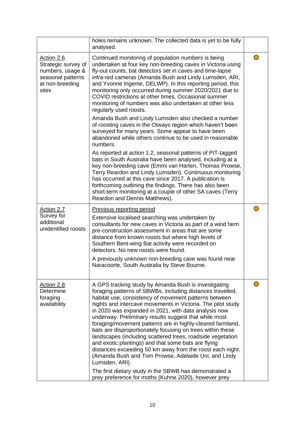|                                                                                                        | holes remains unknown. The collected data is yet to be fully<br>analysed.                                                                                                                                                                                                                                                                                                                                                                                                                                                                                                                                                                                                                                                                                                                                                                                             |  |
|--------------------------------------------------------------------------------------------------------|-----------------------------------------------------------------------------------------------------------------------------------------------------------------------------------------------------------------------------------------------------------------------------------------------------------------------------------------------------------------------------------------------------------------------------------------------------------------------------------------------------------------------------------------------------------------------------------------------------------------------------------------------------------------------------------------------------------------------------------------------------------------------------------------------------------------------------------------------------------------------|--|
| Action 2.6<br>Strategic survey of<br>numbers, usage &<br>seasonal patterns<br>at non-breeding<br>sites | Continued monitoring of population numbers is being<br>undertaken at four key non-breeding caves in Victoria using<br>fly-out counts, bat detectors set in caves and time-lapse<br>infra-red cameras (Amanda Bush and Lindy Lumsden, ARI,<br>and Yvonne Ingeme, DELWP). In this reporting period, this<br>monitoring only occurred during summer 2020/2021 due to<br>COVID restrictions at other times. Occasional summer<br>monitoring of numbers was also undertaken at other less<br>regularly used roosts.                                                                                                                                                                                                                                                                                                                                                        |  |
|                                                                                                        | Amanda Bush and Lindy Lumsden also checked a number<br>of roosting caves in the Otways region which haven't been<br>surveyed for many years. Some appear to have been<br>abandoned while others continue to be used in reasonable<br>numbers.                                                                                                                                                                                                                                                                                                                                                                                                                                                                                                                                                                                                                         |  |
|                                                                                                        | As reported at action 1.2, seasonal patterns of PIT-tagged<br>bats in South Australia have been analysed, including at a<br>key non-breeding cave (Emmi van Harten, Thomas Prowse,<br>Terry Reardon and Lindy Lumsden). Continuous monitoring<br>has occurred at this cave since 2017. A publication is<br>forthcoming outlining the findings. There has also been<br>short-term monitoring at a couple of other SA caves (Terry<br>Reardon and Dennis Matthews).                                                                                                                                                                                                                                                                                                                                                                                                     |  |
| Action 2.7<br>Survey for<br>additional<br>unidentified roosts                                          | <b>Previous reporting period</b><br>Extensive localised searching was undertaken by<br>consultants for new caves in Victoria as part of a wind farm<br>pre-construction assessment in areas that are some<br>distance from known roosts but where high levels of<br>Southern Bent-wing Bat activity were recorded on<br>detectors. No new roosts were found.<br>A previously unknown non-breeding cave was found near<br>Naracoorte, South Australia by Steve Bourne                                                                                                                                                                                                                                                                                                                                                                                                  |  |
| Action 2.8<br>Determine<br>foraging<br>availability                                                    | A GPS tracking study by Amanda Bush is investigating<br>foraging patterns of SBWBs, including distances travelled,<br>habitat use, consistency of movement patterns between<br>nights and intercave movements in Victoria. The pilot study<br>in 2020 was expanded in 2021, with data analysis now<br>underway. Preliminary results suggest that while most<br>foraging/movement patterns are in highly-cleared farmland,<br>bats are disproportionately focusing on trees within these<br>landscapes (including scattered trees, roadside vegetation<br>and exotic plantings) and that some bats are flying<br>distances exceeding 50 km away from the roost each night.<br>(Amanda Bush and Tom Prowse, Adelaide Uni, and Lindy<br>Lumsden, ARI).<br>The first dietary study in the SBWB has demonstrated a<br>prey preference for moths (Kuhne 2020), however prey |  |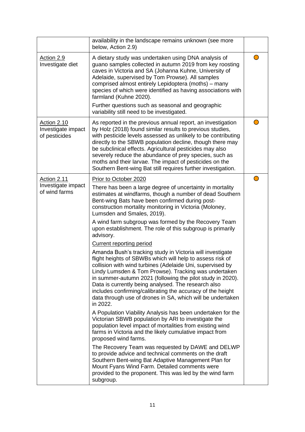|                                                           | availability in the landscape remains unknown (see more<br>below, Action 2.9)                                                                                                                                                                                                                                                                                                                                                                                                                            |  |
|-----------------------------------------------------------|----------------------------------------------------------------------------------------------------------------------------------------------------------------------------------------------------------------------------------------------------------------------------------------------------------------------------------------------------------------------------------------------------------------------------------------------------------------------------------------------------------|--|
| Action 2.9<br>Investigate diet                            | A dietary study was undertaken using DNA analysis of<br>guano samples collected in autumn 2019 from key roosting<br>caves in Victoria and SA (Johanna Kuhne, University of<br>Adelaide, supervised by Tom Prowse). All samples<br>comprised almost entirely Lepidoptera (moths) - many<br>species of which were identified as having associations with<br>farmland (Kuhne 2020).                                                                                                                         |  |
|                                                           | Further questions such as seasonal and geographic<br>variability still need to be investigated.                                                                                                                                                                                                                                                                                                                                                                                                          |  |
| <b>Action 2.10</b><br>Investigate impact<br>of pesticides | As reported in the previous annual report, an investigation<br>by Holz (2018) found similar results to previous studies,<br>with pesticide levels assessed as unlikely to be contributing<br>directly to the SBWB population decline, though there may<br>be subclinical effects. Agricultural pesticides may also<br>severely reduce the abundance of prey species, such as<br>moths and their larvae. The impact of pesticides on the<br>Southern Bent-wing Bat still requires further investigation.  |  |
| Action 2.11                                               | Prior to October 2020                                                                                                                                                                                                                                                                                                                                                                                                                                                                                    |  |
| Investigate impact<br>of wind farms                       | There has been a large degree of uncertainty in mortality<br>estimates at windfarms, though a number of dead Southern<br>Bent-wing Bats have been confirmed during post-<br>construction mortality monitoring in Victoria (Moloney,<br>Lumsden and Smales, 2019).                                                                                                                                                                                                                                        |  |
|                                                           | A wind farm subgroup was formed by the Recovery Team<br>upon establishment. The role of this subgroup is primarily<br>advisory.                                                                                                                                                                                                                                                                                                                                                                          |  |
|                                                           | Current reporting period                                                                                                                                                                                                                                                                                                                                                                                                                                                                                 |  |
|                                                           | Amanda Bush's tracking study in Victoria will investigate<br>flight heights of SBWBs which will help to assess risk of<br>collision with wind turbines (Adelaide Uni, supervised by<br>Lindy Lumsden & Tom Prowse). Tracking was undertaken<br>in summer-autumn 2021 (following the pilot study in 2020).<br>Data is currently being analysed. The research also<br>includes confirming/calibrating the accuracy of the height<br>data through use of drones in SA, which will be undertaken<br>in 2022. |  |
|                                                           | A Population Viability Analysis has been undertaken for the<br>Victorian SBWB population by ARI to investigate the<br>population level impact of mortalities from existing wind<br>farms in Victoria and the likely cumulative impact from<br>proposed wind farms.                                                                                                                                                                                                                                       |  |
|                                                           | The Recovery Team was requested by DAWE and DELWP<br>to provide advice and technical comments on the draft<br>Southern Bent-wing Bat Adaptive Management Plan for<br>Mount Fyans Wind Farm. Detailed comments were<br>provided to the proponent. This was led by the wind farm<br>subgroup.                                                                                                                                                                                                              |  |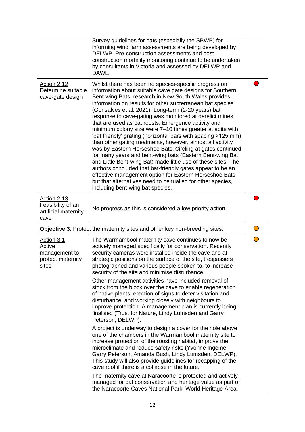|                                                                            | Survey guidelines for bats (especially the SBWB) for<br>informing wind farm assessments are being developed by<br>DELWP. Pre-construction assessments and post-<br>construction mortality monitoring continue to be undertaken<br>by consultants in Victoria and assessed by DELWP and<br>DAWE.                                                                                                                                                                                                                                                                                                                                                                                                                                                                                                                                                                                                                                                                                                                                    |            |
|----------------------------------------------------------------------------|------------------------------------------------------------------------------------------------------------------------------------------------------------------------------------------------------------------------------------------------------------------------------------------------------------------------------------------------------------------------------------------------------------------------------------------------------------------------------------------------------------------------------------------------------------------------------------------------------------------------------------------------------------------------------------------------------------------------------------------------------------------------------------------------------------------------------------------------------------------------------------------------------------------------------------------------------------------------------------------------------------------------------------|------------|
| <b>Action 2.12</b><br>Determine suitable<br>cave-gate design               | Whilst there has been no species-specific progress on<br>information about suitable cave gate designs for Southern<br>Bent-wing Bats, research in New South Wales provides<br>information on results for other subterranean bat species<br>(Gonsalves et al. 2021). Long-term (2-20 years) bat<br>response to cave-gating was monitored at derelict mines<br>that are used as bat roosts. Emergence activity and<br>minimum colony size were 7-10 times greater at adits with<br>'bat friendly' grating (horizontal bars with spacing >125 mm)<br>than other gating treatments, however, almost all activity<br>was by Eastern Horseshoe Bats. Circling at gates continued<br>for many years and bent-wing bats (Eastern Bent-wing Bat<br>and Little Bent-wing Bat) made little use of these sites. The<br>authors concluded that bat-friendly gates appear to be an<br>effective management option for Eastern Horseshoe Bats<br>but that alternatives need to be trialled for other species,<br>including bent-wing bat species. |            |
| Action 2.13<br>Feasibility of an<br>artificial maternity<br>cave           | No progress as this is considered a low priority action.                                                                                                                                                                                                                                                                                                                                                                                                                                                                                                                                                                                                                                                                                                                                                                                                                                                                                                                                                                           |            |
| Objective 3. Protect the maternity sites and other key non-breeding sites. |                                                                                                                                                                                                                                                                                                                                                                                                                                                                                                                                                                                                                                                                                                                                                                                                                                                                                                                                                                                                                                    | $\bigcirc$ |
| <u>Action 3.1</u><br>Active<br>management to<br>protect maternity<br>sites | The Warrnambool maternity cave continues to now be<br>actively managed specifically for conservation. Recently<br>security cameras were installed inside the cave and at<br>strategic positions on the surface of the site, trespassers<br>photographed and various people spoken to, to increase<br>security of the site and minimise disturbance.<br>Other management activities have included removal of<br>stock from the block over the cave to enable regeneration<br>of native plants, erection of signs to deter visitation and<br>disturbance, and working closely with neighbours to<br>improve protection. A management plan is currently being<br>finalised (Trust for Nature, Lindy Lumsden and Garry<br>Peterson, DELWP).                                                                                                                                                                                                                                                                                            |            |
|                                                                            | A project is underway to design a cover for the hole above<br>one of the chambers in the Warrnambool maternity site to<br>increase protection of the roosting habitat, improve the<br>microclimate and reduce safety risks (Yvonne Ingeme,<br>Garry Peterson, Amanda Bush, Lindy Lumsden, DELWP).<br>This study will also provide guidelines for recapping of the<br>cave roof if there is a collapse in the future.<br>The maternity cave at Naracoorte is protected and actively                                                                                                                                                                                                                                                                                                                                                                                                                                                                                                                                                 |            |
|                                                                            | managed for bat conservation and heritage value as part of<br>the Naracoorte Caves National Park, World Heritage Area,                                                                                                                                                                                                                                                                                                                                                                                                                                                                                                                                                                                                                                                                                                                                                                                                                                                                                                             |            |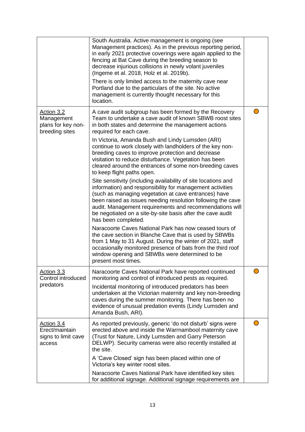|                                                                  | South Australia. Active management is ongoing (see<br>Management practices). As in the previous reporting period,<br>in early 2021 protective coverings were again applied to the<br>fencing at Bat Cave during the breeding season to<br>decrease injurious collisions in newly volant juveniles<br>(Ingeme et al. 2018, Holz et al. 2019b).                                                      |  |
|------------------------------------------------------------------|----------------------------------------------------------------------------------------------------------------------------------------------------------------------------------------------------------------------------------------------------------------------------------------------------------------------------------------------------------------------------------------------------|--|
|                                                                  | There is only limited access to the maternity cave near<br>Portland due to the particulars of the site. No active<br>management is currently thought necessary for this<br>location.                                                                                                                                                                                                               |  |
| Action 3.2<br>Management<br>plans for key non-<br>breeding sites | A cave audit subgroup has been formed by the Recovery<br>Team to undertake a cave audit of known SBWB roost sites<br>in both states and determine the management actions<br>required for each cave.                                                                                                                                                                                                |  |
|                                                                  | In Victoria, Amanda Bush and Lindy Lumsden (ARI)<br>continue to work closely with landholders of the key non-<br>breeding caves to improve protection and decrease<br>visitation to reduce disturbance. Vegetation has been<br>cleared around the entrances of some non-breeding caves<br>to keep flight paths open.                                                                               |  |
|                                                                  | Site sensitivity (including availability of site locations and<br>information) and responsibility for management activities<br>(such as managing vegetation at cave entrances) have<br>been raised as issues needing resolution following the cave<br>audit. Management requirements and recommendations will<br>be negotiated on a site-by-site basis after the cave audit<br>has been completed. |  |
|                                                                  | Naracoorte Caves National Park has now ceased tours of<br>the cave section in Blanche Cave that is used by SBWBs<br>from 1 May to 31 August. During the winter of 2021, staff<br>occasionally monitored presence of bats from the third roof<br>window opening and SBWBs were determined to be<br>present most times.                                                                              |  |
| Action 3.3<br>Control introduced<br>predators                    | Naracoorte Caves National Park have reported continued<br>monitoring and control of introduced pests as required.<br>Incidental monitoring of introduced predators has been<br>undertaken at the Victorian maternity and key non-breeding<br>caves during the summer monitoring. There has been no<br>evidence of unusual predation events (Lindy Lumsden and<br>Amanda Bush, ARI).                |  |
| Action 3.4<br>Erect/maintain<br>signs to limit cave<br>access    | As reported previously, generic 'do not disturb' signs were<br>erected above and inside the Warrnambool maternity cave<br>(Trust for Nature, Lindy Lumsden and Garry Peterson<br>DELWP). Security cameras were also recently installed at<br>the site.                                                                                                                                             |  |
|                                                                  | A 'Cave Closed' sign has been placed within one of<br>Victoria's key winter roost sites.<br>Naracoorte Caves National Park have identified key sites                                                                                                                                                                                                                                               |  |
|                                                                  | for additional signage. Additional signage requirements are                                                                                                                                                                                                                                                                                                                                        |  |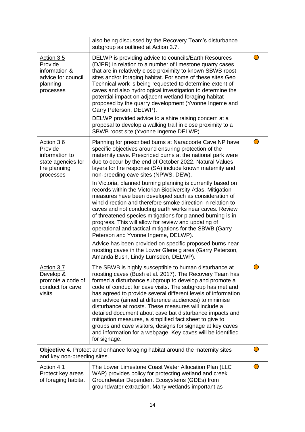|                                                                                             | also being discussed by the Recovery Team's disturbance<br>subgroup as outlined at Action 3.7.                                                                                                                                                                                                                                                                                                                                                                                                                                                                                                                                                                                                                                                                                                                                                                                             |  |
|---------------------------------------------------------------------------------------------|--------------------------------------------------------------------------------------------------------------------------------------------------------------------------------------------------------------------------------------------------------------------------------------------------------------------------------------------------------------------------------------------------------------------------------------------------------------------------------------------------------------------------------------------------------------------------------------------------------------------------------------------------------------------------------------------------------------------------------------------------------------------------------------------------------------------------------------------------------------------------------------------|--|
| Action 3.5<br>Provide<br>information &<br>advice for council<br>planning<br>processes       | DELWP is providing advice to councils/Earth Resources<br>(DJPR) in relation to a number of limestone quarry cases<br>that are in relatively close proximity to known SBWB roost<br>sites and/or foraging habitat. For some of these sites Geo<br>Technical work is being requested to determine extent of<br>caves and also hydrological investigation to determine the<br>potential impact on adjacent wetland foraging habitat<br>proposed by the quarry development (Yvonne Ingeme and<br>Garry Peterson, DELWP).<br>DELWP provided advice to a shire raising concern at a<br>proposal to develop a walking trail in close proximity to a<br>SBWB roost site (Yvonne Ingeme DELWP)                                                                                                                                                                                                      |  |
| Action 3.6<br>Provide<br>information to<br>state agencies for<br>fire planning<br>processes | Planning for prescribed burns at Naracoorte Cave NP have<br>specific objectives around ensuring protection of the<br>maternity cave. Prescribed burns at the national park were<br>due to occur by the end of October 2022. Natural Values<br>layers for fire response (SA) include known maternity and<br>non-breeding cave sites (NPWS, DEW).<br>In Victoria, planned burning planning is currently based on<br>records within the Victorian Biodiversity Atlas. Mitigation<br>measures have been developed such as consideration of<br>wind direction and therefore smoke direction in relation to<br>caves and not conducting earth works near caves. Review<br>of threatened species mitigations for planned burning is in<br>progress. This will allow for review and updating of<br>operational and tactical mitigations for the SBWB (Garry<br>Peterson and Yvonne Ingeme, DELWP). |  |
|                                                                                             | Advice has been provided on specific proposed burns near<br>roosting caves in the Lower Glenelg area (Garry Peterson,<br>Amanda Bush, Lindy Lumsden, DELWP).                                                                                                                                                                                                                                                                                                                                                                                                                                                                                                                                                                                                                                                                                                                               |  |
| <u> Action 3.7</u><br>Develop &<br>promote a code of<br>conduct for cave<br>visits          | The SBWB is highly susceptible to human disturbance at<br>roosting caves (Bush et al. 2017). The Recovery Team has<br>formed a disturbance subgroup to develop and promote a<br>code of conduct for cave visits. The subgroup has met and<br>has agreed to provide several different levels of information<br>and advice (aimed at difference audiences) to minimise<br>disturbance at roosts. These measures will include a<br>detailed document about cave bat disturbance impacts and<br>mitigation measures, a simplified fact sheet to give to<br>groups and cave visitors, designs for signage at key caves<br>and information for a webpage. Key caves will be identified<br>for signage.                                                                                                                                                                                           |  |
| and key non-breeding sites.                                                                 | Objective 4. Protect and enhance foraging habitat around the maternity sites                                                                                                                                                                                                                                                                                                                                                                                                                                                                                                                                                                                                                                                                                                                                                                                                               |  |
| Action 4.1<br>Protect key areas<br>of foraging habitat                                      | The Lower Limestone Coast Water Allocation Plan (LLC<br>WAP) provides policy for protecting wetland and creek<br>Groundwater Dependent Ecosystems (GDEs) from<br>groundwater extraction. Many wetlands important as                                                                                                                                                                                                                                                                                                                                                                                                                                                                                                                                                                                                                                                                        |  |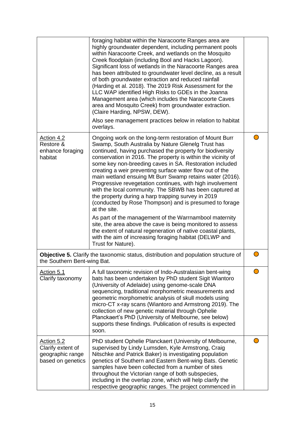|                                                                          | foraging habitat within the Naracoorte Ranges area are<br>highly groundwater dependent, including permanent pools<br>within Naracoorte Creek, and wetlands on the Mosquito<br>Creek floodplain (including Bool and Hacks Lagoon).<br>Significant loss of wetlands in the Naracoorte Ranges area<br>has been attributed to groundwater level decline, as a result<br>of both groundwater extraction and reduced rainfall<br>(Harding et al. 2018). The 2019 Risk Assessment for the<br>LLC WAP identified High Risks to GDEs in the Joanna<br>Management area (which includes the Naracoorte Caves<br>area and Mosquito Creek) from groundwater extraction.<br>(Claire Harding, NPSW, DEW).<br>Also see management practices below in relation to habitat<br>overlays.                                                                                                                                                                                         |  |
|--------------------------------------------------------------------------|---------------------------------------------------------------------------------------------------------------------------------------------------------------------------------------------------------------------------------------------------------------------------------------------------------------------------------------------------------------------------------------------------------------------------------------------------------------------------------------------------------------------------------------------------------------------------------------------------------------------------------------------------------------------------------------------------------------------------------------------------------------------------------------------------------------------------------------------------------------------------------------------------------------------------------------------------------------|--|
| Action 4.2<br>Restore &<br>enhance foraging<br>habitat                   | Ongoing work on the long-term restoration of Mount Burr<br>Swamp, South Australia by Nature Glenelg Trust has<br>continued, having purchased the property for biodiversity<br>conservation in 2016. The property is within the vicinity of<br>some key non-breeding caves in SA. Restoration included<br>creating a weir preventing surface water flow out of the<br>main wetland ensuing Mt Burr Swamp retains water (2016).<br>Progressive revegetation continues, with high involvement<br>with the local community. The SBWB has been captured at<br>the property during a harp trapping survey in 2019<br>(conducted by Rose Thompson) and is presumed to forage<br>at the site.<br>As part of the management of the Warrnambool maternity<br>site, the area above the cave is being monitored to assess<br>the extent of natural regeneration of native coastal plants,<br>with the aim of increasing foraging habitat (DELWP and<br>Trust for Nature). |  |
| the Southern Bent-wing Bat.                                              | Objective 5. Clarify the taxonomic status, distribution and population structure of                                                                                                                                                                                                                                                                                                                                                                                                                                                                                                                                                                                                                                                                                                                                                                                                                                                                           |  |
| Action 5.1<br>Clarify taxonomy                                           | A full taxonomic revision of Indo-Australasian bent-wing<br>bats has been undertaken by PhD student Sigit Wiantoro<br>(University of Adelaide) using genome-scale DNA<br>sequencing, traditional morphometric measurements and<br>geometric morphometric analysis of skull models using<br>micro-CT x-ray scans (Wiantoro and Armstrong 2019). The<br>collection of new genetic material through Ophelie<br>Planckaert's PhD (University of Melbourne, see below)<br>supports these findings. Publication of results is expected<br>soon.                                                                                                                                                                                                                                                                                                                                                                                                                     |  |
| Action 5.2<br>Clarify extent of<br>geographic range<br>based on genetics | PhD student Ophelie Planckaert (University of Melbourne,<br>supervised by Lindy Lumsden, Kyle Armstrong, Craig<br>Nitschke and Patrick Baker) is investigating population<br>genetics of Southern and Eastern Bent-wing Bats. Genetic<br>samples have been collected from a number of sites<br>throughout the Victorian range of both subspecies,<br>including in the overlap zone, which will help clarify the<br>respective geographic ranges. The project commenced in                                                                                                                                                                                                                                                                                                                                                                                                                                                                                     |  |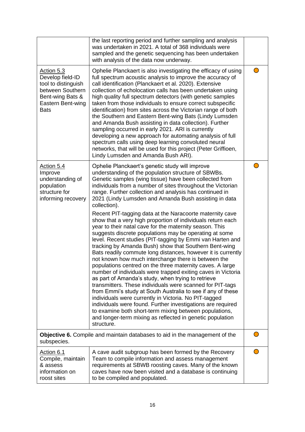|                                                                                                                                   | the last reporting period and further sampling and analysis<br>was undertaken in 2021. A total of 368 individuals were<br>sampled and the genetic sequencing has been undertaken<br>with analysis of the data now underway.                                                                                                                                                                                                                                                                                                                                                                                                                                                                                                                                                                                                                                                                                                                                                                                                                                                                                                                                                                                                                                                                                                                                                                                                                  |  |
|-----------------------------------------------------------------------------------------------------------------------------------|----------------------------------------------------------------------------------------------------------------------------------------------------------------------------------------------------------------------------------------------------------------------------------------------------------------------------------------------------------------------------------------------------------------------------------------------------------------------------------------------------------------------------------------------------------------------------------------------------------------------------------------------------------------------------------------------------------------------------------------------------------------------------------------------------------------------------------------------------------------------------------------------------------------------------------------------------------------------------------------------------------------------------------------------------------------------------------------------------------------------------------------------------------------------------------------------------------------------------------------------------------------------------------------------------------------------------------------------------------------------------------------------------------------------------------------------|--|
| Action 5.3<br>Develop field-ID<br>tool to distinguish<br>between Southern<br>Bent-wing Bats &<br>Eastern Bent-wing<br><b>Bats</b> | Ophelie Planckaert is also investigating the efficacy of using<br>full spectrum acoustic analysis to improve the accuracy of<br>call identification (Planckaert et al. 2020). Extensive<br>collection of echolocation calls has been undertaken using<br>high quality full spectrum detectors (with genetic samples<br>taken from those individuals to ensure correct subspecific<br>identification) from sites across the Victorian range of both<br>the Southern and Eastern Bent-wing Bats (Lindy Lumsden<br>and Amanda Bush assisting in data collection). Further<br>sampling occurred in early 2021. ARI is currently<br>developing a new approach for automating analysis of full<br>spectrum calls using deep learning convoluted neural<br>networks, that will be used for this project (Peter Griffioen,<br>Lindy Lumsden and Amanda Bush ARI).                                                                                                                                                                                                                                                                                                                                                                                                                                                                                                                                                                                    |  |
| Action 5.4<br>Improve<br>understanding of<br>population<br>structure for<br>informing recovery                                    | Ophelie Planckaert's genetic study will improve<br>understanding of the population structure of SBWBs.<br>Genetic samples (wing tissue) have been collected from<br>individuals from a number of sites throughout the Victorian<br>range. Further collection and analysis has continued in<br>2021 (Lindy Lumsden and Amanda Bush assisting in data<br>collection).<br>Recent PIT-tagging data at the Naracoorte maternity cave<br>show that a very high proportion of individuals return each<br>year to their natal cave for the maternity season. This<br>suggests discrete populations may be operating at some<br>level. Recent studies (PIT-tagging by Emmi van Harten and<br>tracking by Amanda Bush) show that Southern Bent-wing<br>Bats readily commute long distances, however it is currently<br>not known how much interchange there is between the<br>populations centred on the three maternity caves. A large<br>number of individuals were trapped exiting caves in Victoria<br>as part of Amanda's study, when trying to retrieve<br>transmitters. These individuals were scanned for PIT-tags<br>from Emmi's study at South Australia to see if any of these<br>individuals were currently in Victoria. No PIT-tagged<br>individuals were found. Further investigations are required<br>to examine both short-term mixing between populations,<br>and longer-term mixing as reflected in genetic population<br>structure. |  |
| subspecies.                                                                                                                       | Objective 6. Compile and maintain databases to aid in the management of the                                                                                                                                                                                                                                                                                                                                                                                                                                                                                                                                                                                                                                                                                                                                                                                                                                                                                                                                                                                                                                                                                                                                                                                                                                                                                                                                                                  |  |
| Action 6.1<br>Compile, maintain<br>& assess<br>information on<br>roost sites                                                      | A cave audit subgroup has been formed by the Recovery<br>Team to compile information and assess management<br>requirements at SBWB roosting caves. Many of the known<br>caves have now been visited and a database is continuing<br>to be compiled and populated.                                                                                                                                                                                                                                                                                                                                                                                                                                                                                                                                                                                                                                                                                                                                                                                                                                                                                                                                                                                                                                                                                                                                                                            |  |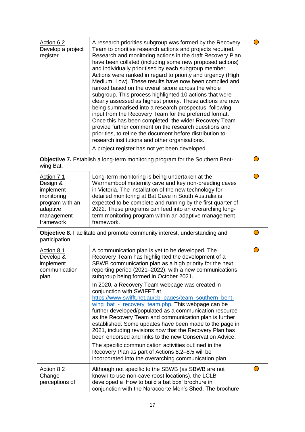| Action 6.2<br>Develop a project<br>register                                                                 | A research priorities subgroup was formed by the Recovery<br>Team to prioritise research actions and projects required.<br>Research and monitoring actions in the draft Recovery Plan<br>have been collated (including some new proposed actions)<br>and individually prioritised by each subgroup member.<br>Actions were ranked in regard to priority and urgency (High,<br>Medium, Low). These results have now been compiled and<br>ranked based on the overall score across the whole<br>subgroup. This process highlighted 10 actions that were<br>clearly assessed as highest priority. These actions are now<br>being summarised into a research prospectus, following<br>input from the Recovery Team for the preferred format.<br>Once this has been completed, the wider Recovery Team<br>provide further comment on the research questions and<br>priorities, to refine the document before distribution to<br>research institutions and other organisations. |  |
|-------------------------------------------------------------------------------------------------------------|---------------------------------------------------------------------------------------------------------------------------------------------------------------------------------------------------------------------------------------------------------------------------------------------------------------------------------------------------------------------------------------------------------------------------------------------------------------------------------------------------------------------------------------------------------------------------------------------------------------------------------------------------------------------------------------------------------------------------------------------------------------------------------------------------------------------------------------------------------------------------------------------------------------------------------------------------------------------------|--|
| wing Bat.                                                                                                   | A project register has not yet been developed.<br><b>Objective 7.</b> Establish a long-term monitoring program for the Southern Bent-                                                                                                                                                                                                                                                                                                                                                                                                                                                                                                                                                                                                                                                                                                                                                                                                                                     |  |
| Action 7.1<br>Design &<br>implement<br>monitoring<br>program with an<br>adaptive<br>management<br>framework | Long-term monitoring is being undertaken at the<br>Warrnambool maternity cave and key non-breeding caves<br>in Victoria. The installation of the new technology for<br>detailed monitoring at Bat Cave in South Australia is<br>expected to be complete and running by the first quarter of<br>2022. These programs can feed into an overarching long-<br>term monitoring program within an adaptive management<br>framework.                                                                                                                                                                                                                                                                                                                                                                                                                                                                                                                                             |  |
| Objective 8. Facilitate and promote community interest, understanding and<br>participation.                 |                                                                                                                                                                                                                                                                                                                                                                                                                                                                                                                                                                                                                                                                                                                                                                                                                                                                                                                                                                           |  |
| Action 8.1<br>Develop &<br>implement<br>communication<br>plan                                               | A communication plan is yet to be developed. The<br>Recovery Team has highlighted the development of a<br>SBWB communication plan as a high priority for the next<br>reporting period (2021-2022), with a new communications<br>subgroup being formed in October 2021.<br>In 2020, a Recovery Team webpage was created in<br>conjunction with SWIFFT at<br>https://www.swifft.net.au/cb pages/team southern bent-<br>wing bat - recovery team.php. This webpage can be<br>further developed/populated as a communication resource<br>as the Recovery Team and communication plan is further<br>established. Some updates have been made to the page in<br>2021, including revisions now that the Recovery Plan has<br>been endorsed and links to the new Conservation Advice.<br>The specific communication activities outlined in the<br>Recovery Plan as part of Actions 8.2–8.5 will be<br>incorporated into the overarching communication plan.                       |  |
| <u>Action 8.2</u><br>Change<br>perceptions of                                                               | Although not specific to the SBWB (as SBWB are not<br>known to use non-cave roost locations), the LCLB<br>developed a 'How to build a bat box' brochure in<br>conjunction with the Naracoorte Men's Shed. The brochure                                                                                                                                                                                                                                                                                                                                                                                                                                                                                                                                                                                                                                                                                                                                                    |  |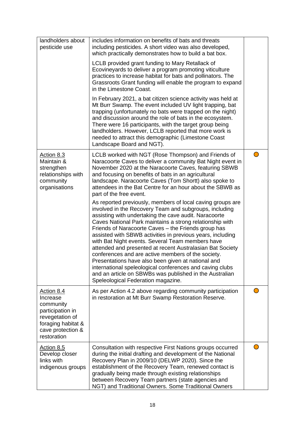| landholders about<br>pesticide use                                                                                                   | includes information on benefits of bats and threats<br>including pesticides. A short video was also developed,<br>which practically demonstrates how to build a bat box.<br>LCLB provided grant funding to Mary Retallack of<br>Ecovineyards to deliver a program promoting viticulture<br>practices to increase habitat for bats and pollinators. The<br>Grassroots Grant funding will enable the program to expand<br>in the Limestone Coast.<br>In February 2021, a bat citizen science activity was held at<br>Mt Burr Swamp. The event included UV light trapping, bat<br>trapping (unfortunately no bats were trapped on the night)<br>and discussion around the role of bats in the ecosystem.<br>There were 16 participants, with the target group being<br>landholders. However, LCLB reported that more work is<br>needed to attract this demographic (Limestone Coast<br>Landscape Board and NGT).                                                                                                                                                                                                                                  |  |
|--------------------------------------------------------------------------------------------------------------------------------------|-------------------------------------------------------------------------------------------------------------------------------------------------------------------------------------------------------------------------------------------------------------------------------------------------------------------------------------------------------------------------------------------------------------------------------------------------------------------------------------------------------------------------------------------------------------------------------------------------------------------------------------------------------------------------------------------------------------------------------------------------------------------------------------------------------------------------------------------------------------------------------------------------------------------------------------------------------------------------------------------------------------------------------------------------------------------------------------------------------------------------------------------------|--|
| Action 8.3<br>Maintain &<br>strengthen<br>relationships with<br>community<br>organisations                                           | LCLB worked with NGT (Rose Thompson) and Friends of<br>Naracoorte Caves to deliver a community Bat Night event in<br>November 2020 at the Naracoorte Caves, featuring SBWB<br>and focusing on benefits of bats in an agricultural<br>landscape. Naracoorte Caves (Tom Shortt) also spoke to<br>attendees in the Bat Centre for an hour about the SBWB as<br>part of the free event.<br>As reported previously, members of local caving groups are<br>involved in the Recovery Team and subgroups, including<br>assisting with undertaking the cave audit. Naracoorte<br>Caves National Park maintains a strong relationship with<br>Friends of Naracoorte Caves - the Friends group has<br>assisted with SBWB activities in previous years, including<br>with Bat Night events. Several Team members have<br>attended and presented at recent Australasian Bat Society<br>conferences and are active members of the society.<br>Presentations have also been given at national and<br>international speleological conferences and caving clubs<br>and an article on SBWBs was published in the Australian<br>Speleological Federation magazine. |  |
| Action 8.4<br>Increase<br>community<br>participation in<br>revegetation of<br>foraging habitat &<br>cave protection &<br>restoration | As per Action 4.2 above regarding community participation<br>in restoration at Mt Burr Swamp Restoration Reserve.                                                                                                                                                                                                                                                                                                                                                                                                                                                                                                                                                                                                                                                                                                                                                                                                                                                                                                                                                                                                                               |  |
| Action 8.5<br>Develop closer<br>links with<br>indigenous groups                                                                      | Consultation with respective First Nations groups occurred<br>during the initial drafting and development of the National<br>Recovery Plan in 2009/10 (DELWP 2020). Since the<br>establishment of the Recovery Team, renewed contact is<br>gradually being made through existing relationships<br>between Recovery Team partners (state agencies and<br>NGT) and Traditional Owners. Some Traditional Owners                                                                                                                                                                                                                                                                                                                                                                                                                                                                                                                                                                                                                                                                                                                                    |  |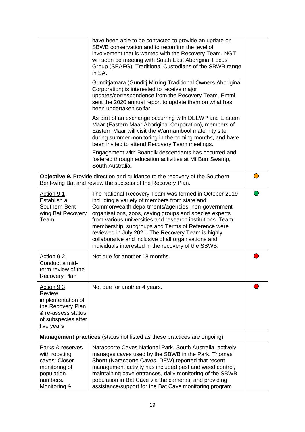|                                                                                                                           | have been able to be contacted to provide an update on<br>SBWB conservation and to reconfirm the level of<br>involvement that is wanted with the Recovery Team. NGT<br>will soon be meeting with South East Aboriginal Focus<br>Group (SEAFG), Traditional Custodians of the SBWB range<br>in SA.                                                                                                                                                                                                            |  |
|---------------------------------------------------------------------------------------------------------------------------|--------------------------------------------------------------------------------------------------------------------------------------------------------------------------------------------------------------------------------------------------------------------------------------------------------------------------------------------------------------------------------------------------------------------------------------------------------------------------------------------------------------|--|
|                                                                                                                           | Gunditjamara (Gunditj Mirring Traditional Owners Aboriginal<br>Corporation) is interested to receive major<br>updates/correspondence from the Recovery Team. Emmi<br>sent the 2020 annual report to update them on what has<br>been undertaken so far.                                                                                                                                                                                                                                                       |  |
|                                                                                                                           | As part of an exchange occurring with DELWP and Eastern<br>Maar (Eastern Maar Aboriginal Corporation), members of<br>Eastern Maar will visit the Warrnambool maternity site<br>during summer monitoring in the coming months, and have<br>been invited to attend Recovery Team meetings.                                                                                                                                                                                                                     |  |
|                                                                                                                           | Engagement with Boandik descendants has occurred and<br>fostered through education activities at Mt Burr Swamp,<br>South Australia.                                                                                                                                                                                                                                                                                                                                                                          |  |
|                                                                                                                           | Objective 9. Provide direction and guidance to the recovery of the Southern<br>Bent-wing Bat and review the success of the Recovery Plan.                                                                                                                                                                                                                                                                                                                                                                    |  |
| Action 9.1<br>Establish a<br>Southern Bent-<br>wing Bat Recovery<br>Team                                                  | The National Recovery Team was formed in October 2019<br>including a variety of members from state and<br>Commonwealth departments/agencies, non-government<br>organisations, zoos, caving groups and species experts<br>from various universities and research institutions. Team<br>membership, subgroups and Terms of Reference were<br>reviewed in July 2021. The Recovery Team is highly<br>collaborative and inclusive of all organisations and<br>individuals interested in the recovery of the SBWB. |  |
| Action 9.2<br>Conduct a mid-<br>term review of the<br><b>Recovery Plan</b>                                                | Not due for another 18 months.                                                                                                                                                                                                                                                                                                                                                                                                                                                                               |  |
| Action 9.3<br>Review<br>implementation of<br>the Recovery Plan<br>& re-assess status<br>of subspecies after<br>five years | Not due for another 4 years.                                                                                                                                                                                                                                                                                                                                                                                                                                                                                 |  |
|                                                                                                                           | <b>Management practices</b> (status not listed as these practices are ongoing)                                                                                                                                                                                                                                                                                                                                                                                                                               |  |
| Parks & reserves<br>with roosting<br>caves: Closer<br>monitoring of<br>population<br>numbers.<br>Monitoring &             | Naracoorte Caves National Park, South Australia, actively<br>manages caves used by the SBWB in the Park. Thomas<br>Shortt (Naracoorte Caves, DEW) reported that recent<br>management activity has included pest and weed control,<br>maintaining cave entrances, daily monitoring of the SBWB<br>population in Bat Cave via the cameras, and providing<br>assistance/support for the Bat Cave monitoring program                                                                                             |  |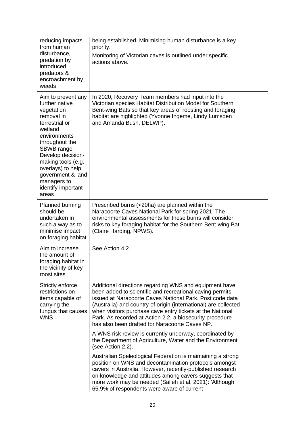| reducing impacts<br>from human<br>disturbance,<br>predation by<br>introduced<br>predators &<br>encroachment by<br>weeds                                                                                                                                                           | being established. Minimising human disturbance is a key<br>priority.<br>Monitoring of Victorian caves is outlined under specific<br>actions above.                                                                                                                                                                                                                                                                          |  |
|-----------------------------------------------------------------------------------------------------------------------------------------------------------------------------------------------------------------------------------------------------------------------------------|------------------------------------------------------------------------------------------------------------------------------------------------------------------------------------------------------------------------------------------------------------------------------------------------------------------------------------------------------------------------------------------------------------------------------|--|
| Aim to prevent any<br>further native<br>vegetation<br>removal in<br>terrestrial or<br>wetland<br>environments<br>throughout the<br>SBWB range.<br>Develop decision-<br>making tools (e.g.<br>overlays) to help<br>government & land<br>managers to<br>identify important<br>areas | In 2020, Recovery Team members had input into the<br>Victorian species Habitat Distribution Model for Southern<br>Bent-wing Bats so that key areas of roosting and foraging<br>habitat are highlighted (Yvonne Ingeme, Lindy Lumsden<br>and Amanda Bush, DELWP).                                                                                                                                                             |  |
| Planned burning<br>should be<br>undertaken in<br>such a way as to<br>minimise impact<br>on foraging habitat                                                                                                                                                                       | Prescribed burns (<20ha) are planned within the<br>Naracoorte Caves National Park for spring 2021. The<br>environmental assessments for these burns will consider<br>risks to key foraging habitat for the Southern Bent-wing Bat<br>(Claire Harding, NPWS).                                                                                                                                                                 |  |
| Aim to increase<br>the amount of<br>foraging habitat in<br>the vicinity of key<br>roost sites                                                                                                                                                                                     | See Action 4.2.                                                                                                                                                                                                                                                                                                                                                                                                              |  |
| Strictly enforce<br>restrictions on<br>items capable of<br>carrying the<br>fungus that causes<br><b>WNS</b>                                                                                                                                                                       | Additional directions regarding WNS and equipment have<br>been added to scientific and recreational caving permits<br>issued at Naracoorte Caves National Park. Post code data<br>(Australia) and country of origin (international) are collected<br>when visitors purchase cave entry tickets at the National<br>Park. As recorded at Action 2.2, a biosecurity procedure<br>has also been drafted for Naracoorte Caves NP. |  |
|                                                                                                                                                                                                                                                                                   | A WNS risk review is currently underway, coordinated by<br>the Department of Agriculture, Water and the Environment<br>(see Action 2.2).                                                                                                                                                                                                                                                                                     |  |
|                                                                                                                                                                                                                                                                                   | Australian Speleological Federation is maintaining a strong<br>position on WNS and decontamination protocols amongst<br>cavers in Australia. However, recently-published research<br>on knowledge and attitudes among cavers suggests that<br>more work may be needed (Salleh et al. 2021): 'Although<br>65.9% of respondents were aware of current                                                                          |  |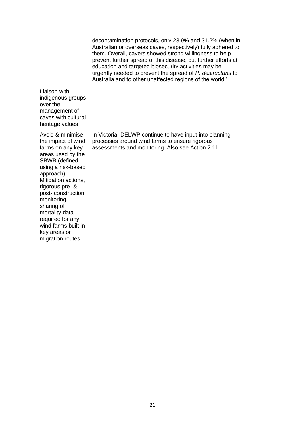|                                                                                                                                                                                                                                                                                                                                          | decontamination protocols, only 23.9% and 31.2% (when in<br>Australian or overseas caves, respectively) fully adhered to<br>them. Overall, cavers showed strong willingness to help<br>prevent further spread of this disease, but further efforts at<br>education and targeted biosecurity activities may be<br>urgently needed to prevent the spread of P. destructans to<br>Australia and to other unaffected regions of the world.' |  |
|------------------------------------------------------------------------------------------------------------------------------------------------------------------------------------------------------------------------------------------------------------------------------------------------------------------------------------------|-----------------------------------------------------------------------------------------------------------------------------------------------------------------------------------------------------------------------------------------------------------------------------------------------------------------------------------------------------------------------------------------------------------------------------------------|--|
| Liaison with<br>indigenous groups<br>over the<br>management of<br>caves with cultural<br>heritage values                                                                                                                                                                                                                                 |                                                                                                                                                                                                                                                                                                                                                                                                                                         |  |
| Avoid & minimise<br>the impact of wind<br>farms on any key<br>areas used by the<br><b>SBWB</b> (defined<br>using a risk-based<br>approach).<br>Mitigation actions,<br>rigorous pre- &<br>post-construction<br>monitoring,<br>sharing of<br>mortality data<br>required for any<br>wind farms built in<br>key areas or<br>migration routes | In Victoria, DELWP continue to have input into planning<br>processes around wind farms to ensure rigorous<br>assessments and monitoring. Also see Action 2.11.                                                                                                                                                                                                                                                                          |  |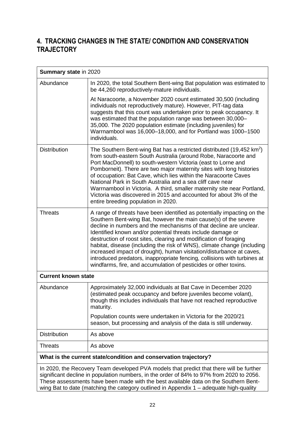# **4. TRACKING CHANGES IN THE STATE/ CONDITION AND CONSERVATION TRAJECTORY**

| <b>Summary state in 2020</b>                                                                                                                                                                                                                                               |                                                                                                                                                                                                                                                                                                                                                                                                                                                                                                                                                                                                                                                         |  |
|----------------------------------------------------------------------------------------------------------------------------------------------------------------------------------------------------------------------------------------------------------------------------|---------------------------------------------------------------------------------------------------------------------------------------------------------------------------------------------------------------------------------------------------------------------------------------------------------------------------------------------------------------------------------------------------------------------------------------------------------------------------------------------------------------------------------------------------------------------------------------------------------------------------------------------------------|--|
| Abundance                                                                                                                                                                                                                                                                  | In 2020, the total Southern Bent-wing Bat population was estimated to<br>be 44,260 reproductively-mature individuals.                                                                                                                                                                                                                                                                                                                                                                                                                                                                                                                                   |  |
|                                                                                                                                                                                                                                                                            | At Naracoorte, a November 2020 count estimated 30,500 (including<br>individuals not reproductively mature). However, PIT-tag data<br>suggests that this count was undertaken prior to peak occupancy. It<br>was estimated that the population range was between 30,000-<br>35,000. The 2020 population estimate (including juveniles) for<br>Warrnambool was 16,000-18,000, and for Portland was 1000-1500<br>individuals.                                                                                                                                                                                                                              |  |
| <b>Distribution</b>                                                                                                                                                                                                                                                        | The Southern Bent-wing Bat has a restricted distributed (19,452 km <sup>2</sup> )<br>from south-eastern South Australia (around Robe, Naracoorte and<br>Port MacDonnell) to south-western Victoria (east to Lorne and<br>Pomborneit). There are two major maternity sites with long histories<br>of occupation: Bat Cave, which lies within the Naracoorte Caves<br>National Park in South Australia and a sea cliff cave near<br>Warrnambool in Victoria. A third, smaller maternity site near Portland,<br>Victoria was discovered in 2015 and accounted for about 3% of the<br>entire breeding population in 2020.                                   |  |
| <b>Threats</b>                                                                                                                                                                                                                                                             | A range of threats have been identified as potentially impacting on the<br>Southern Bent-wing Bat, however the main cause(s) of the severe<br>decline in numbers and the mechanisms of that decline are unclear.<br>Identified known and/or potential threats include damage or<br>destruction of roost sites, clearing and modification of foraging<br>habitat, disease (including the risk of WNS), climate change (including<br>increased impact of drought), human visitation/disturbance at caves,<br>introduced predators, inappropriate fencing, collisions with turbines at<br>windfarms, fire, and accumulation of pesticides or other toxins. |  |
| <b>Current known state</b>                                                                                                                                                                                                                                                 |                                                                                                                                                                                                                                                                                                                                                                                                                                                                                                                                                                                                                                                         |  |
| Abundance                                                                                                                                                                                                                                                                  | Approximately 32,000 individuals at Bat Cave in December 2020<br>(estimated peak occupancy and before juveniles become volant),<br>though this includes individuals that have not reached reproductive<br>maturity.                                                                                                                                                                                                                                                                                                                                                                                                                                     |  |
|                                                                                                                                                                                                                                                                            | Population counts were undertaken in Victoria for the 2020/21<br>season, but processing and analysis of the data is still underway.                                                                                                                                                                                                                                                                                                                                                                                                                                                                                                                     |  |
| <b>Distribution</b>                                                                                                                                                                                                                                                        | As above                                                                                                                                                                                                                                                                                                                                                                                                                                                                                                                                                                                                                                                |  |
| <b>Threats</b>                                                                                                                                                                                                                                                             | As above                                                                                                                                                                                                                                                                                                                                                                                                                                                                                                                                                                                                                                                |  |
|                                                                                                                                                                                                                                                                            | What is the current state/condition and conservation trajectory?                                                                                                                                                                                                                                                                                                                                                                                                                                                                                                                                                                                        |  |
| In 2020, the Recovery Team developed PVA models that predict that there will be further<br>significant decline in population numbers, in the order of 84% to 97% from 2020 to 2056.<br>These assessments have been made with the best available data on the Southern Bent- |                                                                                                                                                                                                                                                                                                                                                                                                                                                                                                                                                                                                                                                         |  |

wing Bat to date (matching the category outlined in Appendix 1 – adequate high-quality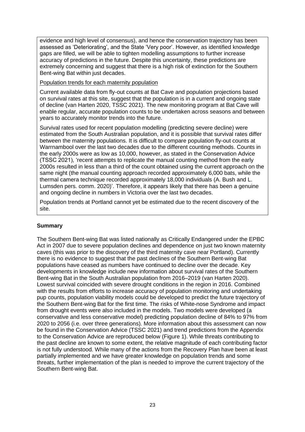evidence and high level of consensus), and hence the conservation trajectory has been assessed as 'Deteriorating', and the State 'Very poor'. However, as identified knowledge gaps are filled, we will be able to tighten modelling assumptions to further increase accuracy of predictions in the future. Despite this uncertainty, these predictions are extremely concerning and suggest that there is a high risk of extinction for the Southern Bent-wing Bat within just decades.

## Population trends for each maternity population

Current available data from fly-out counts at Bat Cave and population projections based on survival rates at this site, suggest that the population is in a current and ongoing state of decline (van Harten 2020, TSSC 2021). The new monitoring program at Bat Cave will enable regular, accurate population counts to be undertaken across seasons and between years to accurately monitor trends into the future.

Survival rates used for recent population modelling (predicting severe decline) were estimated from the South Australian population, and it is possible that survival rates differ between the maternity populations. It is difficult to compare population fly-out counts at Warrnambool over the last two decades due to the different counting methods. Counts in the early 2000s were as low as 10,000, however, as stated in the Conservation Advice (TSSC 2021), 'recent attempts to replicate the manual counting method from the early 2000s resulted in less than a third of the count obtained using the current approach on the same night (the manual counting approach recorded approximately 6,000 bats, while the thermal camera technique recorded approximately 18,000 individuals (A. Bush and L. Lumsden pers. comm. 2020)'. Therefore, it appears likely that there has been a genuine and ongoing decline in numbers in Victoria over the last two decades.

Population trends at Portland cannot yet be estimated due to the recent discovery of the site.

# **Summary**

The Southern Bent-wing Bat was listed nationally as Critically Endangered under the EPBC Act in 2007 due to severe population declines and dependence on just two known maternity caves (this was prior to the discovery of the third maternity cave near Portland). Currently there is no evidence to suggest that the past declines of the Southern Bent-wing Bat populations have ceased as numbers have continued to decline over the decade. Key developments in knowledge include new information about survival rates of the Southern Bent-wing Bat in the South Australian population from 2016–2019 (van Harten 2020). Lowest survival coincided with severe drought conditions in the region in 2016. Combined with the results from efforts to increase accuracy of population monitoring and undertaking pup counts, population viability models could be developed to predict the future trajectory of the Southern Bent-wing Bat for the first time. The risks of White-nose Syndrome and impact from drought events were also included in the models. Two models were developed (a conservative and less conservative model) predicting population decline of 84% to 97% from 2020 to 2056 (i.e. over three generations). More information about this assessment can now be found in the Conservation Advice (TSSC 2021) and trend predictions from the Appendix to the Conservation Advice are reproduced below (Figure 1). While threats contributing to the past decline are known to some extent, the relative magnitude of each contributing factor is not fully understood. While many of the actions from the Recovery Plan have been at least partially implemented and we have greater knowledge on population trends and some threats, further implementation of the plan is needed to improve the current trajectory of the Southern Bent-wing Bat.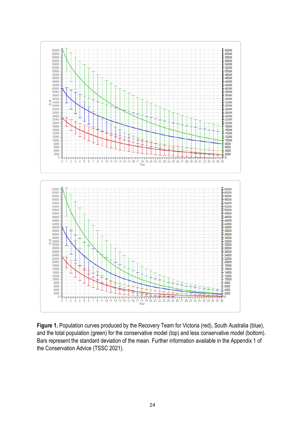

**Figure 1.** Population curves produced by the Recovery Team for Victoria (red), South Australia (blue), and the total population (green) for the conservative model (top) and less conservative model (bottom). Bars represent the standard deviation of the mean. Further information available in the Appendix 1 of the Conservation Advice (TSSC 2021).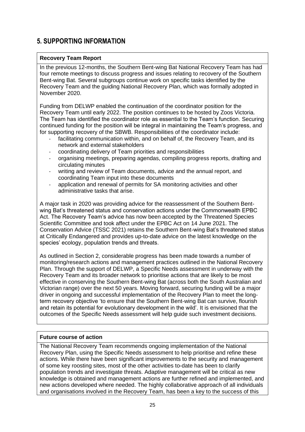# **5. SUPPORTING INFORMATION**

## **Recovery Team Report**

In the previous 12-months, the Southern Bent-wing Bat National Recovery Team has had four remote meetings to discuss progress and issues relating to recovery of the Southern Bent-wing Bat. Several subgroups continue work on specific tasks identified by the Recovery Team and the guiding National Recovery Plan, which was formally adopted in November 2020.

Funding from DELWP enabled the continuation of the coordinator position for the Recovery Team until early 2022. The position continues to be hosted by Zoos Victoria. The Team has identified the coordinator role as essential to the Team's function. Securing continued funding for the position will be integral in maintaining the Team's progress, and for supporting recovery of the SBWB. Responsibilities of the coordinator include:

- facilitating communication within, and on behalf of, the Recovery Team, and its network and external stakeholders
- coordinating delivery of Team priorities and responsibilities
- organising meetings, preparing agendas, compiling progress reports, drafting and circulating minutes
- writing and review of Team documents, advice and the annual report, and coordinating Team input into these documents
- application and renewal of permits for SA monitoring activities and other administrative tasks that arise.

A major task in 2020 was providing advice for the reassessment of the Southern Bentwing Bat's threatened status and conservation actions under the Commonwealth EPBC Act. The Recovery Team's advice has now been accepted by the Threatened Species Scientific Committee and took affect under the EPBC Act on 14 June 2021. The Conservation Advice (TSSC 2021) retains the Southern Bent-wing Bat's threatened status at Critically Endangered and provides up-to-date advice on the latest knowledge on the species' ecology, population trends and threats.

As outlined in Section 2, considerable progress has been made towards a number of monitoring/research actions and management practices outlined in the National Recovery Plan. Through the support of DELWP, a Specific Needs assessment in underway with the Recovery Team and its broader network to prioritise actions that are likely to be most effective in conserving the Southern Bent-wing Bat (across both the South Australian and Victorian range) over the next 50 years. Moving forward, securing funding will be a major driver in ongoing and successful implementation of the Recovery Plan to meet the longterm recovery objective 'to ensure that the Southern Bent-wing Bat can survive, flourish and retain its potential for evolutionary development in the wild'. It is envisioned that the outcomes of the Specific Needs assessment will help guide such investment decisions.

## **Future course of action**

The National Recovery Team recommends ongoing implementation of the National Recovery Plan, using the Specific Needs assessment to help prioritise and refine these actions. While there have been significant improvements to the security and management of some key roosting sites, most of the other activities to-date has been to clarify population trends and investigate threats. Adaptive management will be critical as new knowledge is obtained and management actions are further refined and implemented, and new actions developed where needed. The highly collaborative approach of all individuals and organisations involved in the Recovery Team, has been a key to the success of this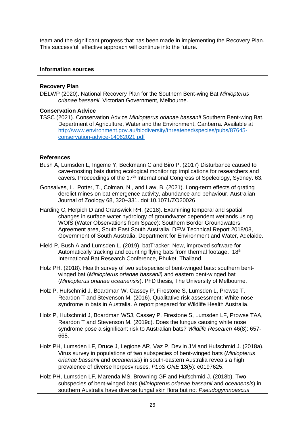team and the significant progress that has been made in implementing the Recovery Plan. This successful, effective approach will continue into the future.

#### **Information sources**

### **Recovery Plan**

DELWP (2020). National Recovery Plan for the Southern Bent-wing Bat *Miniopterus orianae bassanii*. Victorian Government, Melbourne.

#### **Conservation Advice**

TSSC (2021). Conservation Advice *Miniopterus orianae bassanii* Southern Bent-wing Bat. Department of Agriculture, Water and the Environment, Canberra. Available at [http://www.environment.gov.au/biodiversity/threatened/species/pubs/87645](http://www.environment.gov.au/biodiversity/threatened/species/pubs/87645-conservation-advice-14062021.pdf) [conservation-advice-14062021.pdf](http://www.environment.gov.au/biodiversity/threatened/species/pubs/87645-conservation-advice-14062021.pdf)

#### **References**

- Bush A, Lumsden L, Ingeme Y, Beckmann C and Biro P. (2017) Disturbance caused to cave-roosting bats during ecological monitoring: implications for researchers and cavers. Proceedings of the 17<sup>th</sup> International Congress of Speleology, Sydney, 63.
- Gonsalves, L., Potter, T., Colman, N., and Law, B. (2021). Long-term effects of grating derelict mines on bat emergence activity, abundance and behaviour. Australian Journal of Zoology 68, 320–331. doi:10.1071/ZO20026
- Harding C, Herpich D and Cranswick RH. (2018). Examining temporal and spatial changes in surface water hydrology of groundwater dependent wetlands using WOfS (Water Observations from Space): Southern Border Groundwaters Agreement area, South East South Australia. DEW Technical Report 2018/08, Government of South Australia, Department for Environment and Water, Adelaide.
- Hield P, Bush A and Lumsden L. (2019). batTracker: New, improved software for Automatically tracking and counting flying bats from thermal footage. 18<sup>th</sup> International Bat Research Conference, Phuket, Thailand.
- Holz PH. (2018). Health survey of two subspecies of bent-winged bats: southern bentwinged bat (*Miniopterus orianae bassanii)* and eastern bent-winged bat (*Miniopterus orianae oceanensis*). PhD thesis, The University of Melbourne.
- Holz P, Hufschmid J, Boardman W, Cassey P, Firestone S, Lumsden L, Prowse T, Reardon T and Stevenson M. (2016). Qualitative risk assessment: White-nose syndrome in bats in Australia. A report prepared for Wildlife Health Australia.
- Holz P, Hufschmid J, Boardman WSJ, Cassey P, Firestone S, Lumsden LF, Prowse TAA, Reardon T and Stevenson M. (2019c). Does the fungus causing white nose syndrome pose a significant risk to Australian bats? *Wildlife Research* 46(8): 657- 668.
- Holz PH, Lumsden LF, Druce J, Legione AR, Vaz P, Devlin JM and Hufschmid J. (2018a). Virus survey in populations of two subspecies of bent-winged bats (*Miniopterus orianae bassanii* and *oceanensis*) in south-eastern Australia reveals a high prevalence of diverse herpesviruses. *PLoS ONE* **13**(5): e0197625.
- Holz PH, Lumsden LF, Marenda MS, Browning GF and Hufschmid J. (2018b). Two subspecies of bent-winged bats (*Miniopterus orianae bassanii* and *oceanensis*) in southern Australia have diverse fungal skin flora but not *Pseudogymnoascus*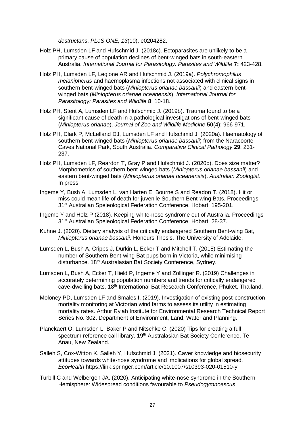*destructans*. *PLoS ONE, 13*(10), e0204282.

- Holz PH, Lumsden LF and Hufschmid J. (2018c). Ectoparasites are unlikely to be a primary cause of population declines of bent-winged bats in south-eastern Australia. *International Journal for Parasitology: Parasites and Wildlife* **7:** 423-428.
- Holz PH, Lumsden LF, Legione AR and Hufschmid J. (2019a). *Polychromophilus melanipherus* and haemoplasma infections not associated with clinical signs in southern bent-winged bats (*Miniopterus orianae bassanii*) and eastern bentwinged bats (*Miniopterus orianae oceanensis*). *International Journal for Parasitology: Parasites and Wildlife* **8**: 10-18.
- Holz PH, Stent A, Lumsden LF and Hufschmid J. (2019b). Trauma found to be a significant cause of death in a pathological investigations of bent-winged bats (*Miniopterus orianae*). *Journal of Zoo and Wildlife Medicine* **50**(4): 966-971.
- Holz PH, Clark P, McLelland DJ, Lumsden LF and Hufschmid J. (2020a). Haematology of southern bent-winged bats (*Miniopterus orianae bassanii*) from the Naracoorte Caves National Park, South Australia. *Comparative Clinical Pathology* **29**: 231- 237.
- Holz PH, Lumsden LF, Reardon T, Gray P and Hufschmid J. (2020b). Does size matter? Morphometrics of southern bent-winged bats (*Miniopterus orianae bassanii*) and eastern bent-winged bats (*Miniopterus orianae oceanensis*). *Australian Zoologist*. In press.
- Ingeme Y, Bush A, Lumsden L, van Harten E, Bourne S and Readon T. (2018). Hit or miss could mean life of death for juvenile Southern Bent-wing Bats. Proceedings 31<sup>st</sup> Australian Speleological Federation Conference. Hobart. 195-201.

Ingeme Y and Holz P (2018). Keeping white-nose syndrome out of Australia. Proceedings 31<sup>st</sup> Australian Speleological Federation Conference. Hobart. 28-37.

- Kuhne J. (2020). Dietary analysis of the critically endangered Southern Bent-wing Bat, *Miniopterus orianae bassanii.* Honours Thesis. The University of Adelaide.
- Lumsden L, Bush A, Cripps J, Durkin L, Ecker T and Mitchell T. (2018) Estimating the number of Southern Bent-wing Bat pups born in Victoria, while minimising disturbance. 18<sup>th</sup> Australasian Bat Society Conference, Sydney.
- Lumsden L, Bush A, Ecker T, Hield P, Ingeme Y and Zollinger R. (2019) Challenges in accurately determining population numbers and trends for critically endangered cave-dwelling bats. 18th International Bat Research Conference, Phuket, Thailand.
- Moloney PD, Lumsden LF and Smales I. (2019). Investigation of existing post-construction mortality monitoring at Victorian wind farms to assess its utility in estimating mortality rates. Arthur Rylah Institute for Environmental Research Technical Report Series No. 302. Department of Environment, Land, Water and Planning.
- Planckaert O, Lumsden L, Baker P and Nitschke C. (2020) Tips for creating a full spectrum reference call library. 19<sup>th</sup> Australasian Bat Society Conference. Te Anau, New Zealand.
- Salleh S, Cox-Witton K, Salleh Y, Hufschmid J. (2021). Caver knowledge and biosecurity attitudes towards white-nose syndrome and implications for global spread. *EcoHealth* https://link.springer.com/article/10.1007/s10393-020-01510-y
- Turbill C and Welbergen JA. (2020). Anticipating white-nose syndrome in the Southern Hemisphere: Widespread conditions favourable to *Pseudogymnoascus*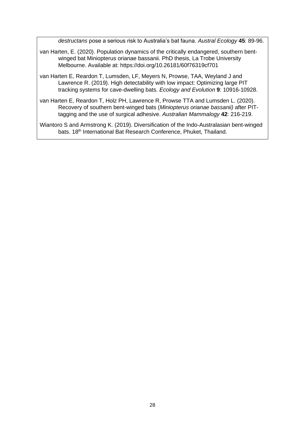*destructans* pose a serious risk to Australia's bat fauna. *Austral Ecology* **45**: 89-96.

- van Harten, E. (2020). Population dynamics of the critically endangered, southern bentwinged bat Miniopterus orianae bassanii. PhD thesis, La Trobe University Melbourne. Available at: https://doi.org/10.26181/60f76319cf701
- van Harten E, Reardon T, Lumsden, LF, Meyers N, Prowse, TAA, Weyland J and Lawrence R. (2019). High detectability with low impact: Optimizing large PIT tracking systems for cave-dwelling bats. *Ecology and Evolution* **9**: 10916-10928.
- van Harten E, Reardon T, Holz PH, Lawrence R, Prowse TTA and Lumsden L. (2020). Recovery of southern bent-winged bats (*Miniopterus orianae bassanii)* after PITtagging and the use of surgical adhesive. *Australian Mammalogy* **42**: 216-219.

Wiantoro S and Armstrong K. (2019). Diversification of the Indo-Australasian bent-winged bats. 18<sup>th</sup> International Bat Research Conference, Phuket, Thailand.